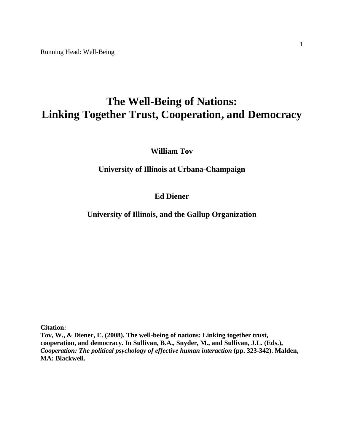Running Head: Well-Being

# **The Well-Being of Nations: Linking Together Trust, Cooperation, and Democracy**

**William Tov**

**University of Illinois at Urbana-Champaign**

**Ed Diener**

**University of Illinois, and the Gallup Organization**

**Citation:**

**Tov, W., & Diener, E. (2008). The well-being of nations: Linking together trust, cooperation, and democracy. In Sullivan, B.A., Snyder, M., and Sullivan, J.L. (Eds.),** *Cooperation: The political psychology of effective human interaction* **(pp. 323-342). Malden, MA: Blackwell.**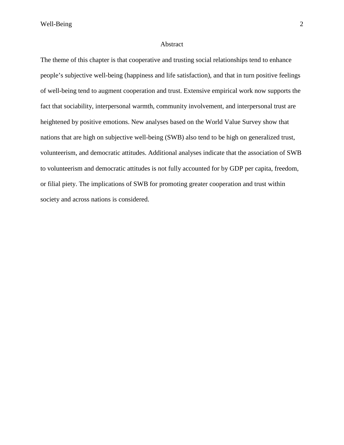#### Abstract

The theme of this chapter is that cooperative and trusting social relationships tend to enhance people's subjective well-being (happiness and life satisfaction), and that in turn positive feelings of well-being tend to augment cooperation and trust. Extensive empirical work now supports the fact that sociability, interpersonal warmth, community involvement, and interpersonal trust are heightened by positive emotions. New analyses based on the World Value Survey show that nations that are high on subjective well-being (SWB) also tend to be high on generalized trust, volunteerism, and democratic attitudes. Additional analyses indicate that the association of SWB to volunteerism and democratic attitudes is not fully accounted for by GDP per capita, freedom, or filial piety. The implications of SWB for promoting greater cooperation and trust within society and across nations is considered.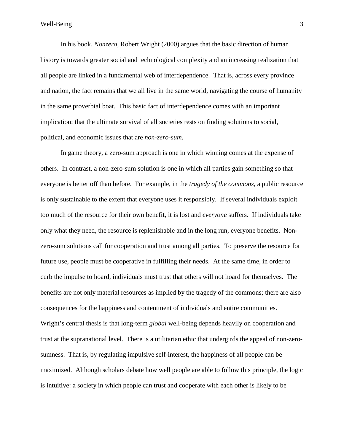In his book, *Nonzero*, Robert Wright (2000) argues that the basic direction of human history is towards greater social and technological complexity and an increasing realization that all people are linked in a fundamental web of interdependence. That is, across every province and nation, the fact remains that we all live in the same world, navigating the course of humanity in the same proverbial boat. This basic fact of interdependence comes with an important implication: that the ultimate survival of all societies rests on finding solutions to social, political, and economic issues that are *non-zero-sum*.

In game theory, a zero-sum approach is one in which winning comes at the expense of others. In contrast, a non-zero-sum solution is one in which all parties gain something so that everyone is better off than before. For example, in the *tragedy of the commons*, a public resource is only sustainable to the extent that everyone uses it responsibly. If several individuals exploit too much of the resource for their own benefit, it is lost and *everyone* suffers. If individuals take only what they need, the resource is replenishable and in the long run, everyone benefits. Nonzero-sum solutions call for cooperation and trust among all parties. To preserve the resource for future use, people must be cooperative in fulfilling their needs. At the same time, in order to curb the impulse to hoard, individuals must trust that others will not hoard for themselves. The benefits are not only material resources as implied by the tragedy of the commons; there are also consequences for the happiness and contentment of individuals and entire communities. Wright's central thesis is that long-term *global* well-being depends heavily on cooperation and trust at the supranational level. There is a utilitarian ethic that undergirds the appeal of non-zerosumness. That is, by regulating impulsive self-interest, the happiness of all people can be maximized. Although scholars debate how well people are able to follow this principle, the logic is intuitive: a society in which people can trust and cooperate with each other is likely to be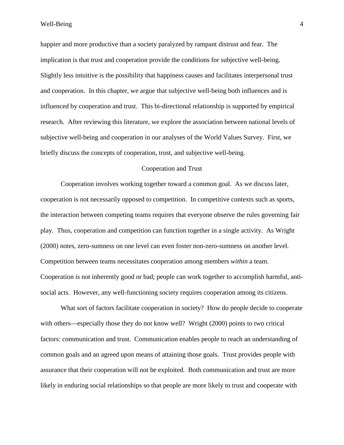happier and more productive than a society paralyzed by rampant distrust and fear. The implication is that trust and cooperation provide the conditions for subjective well-being. Slightly less intuitive is the possibility that happiness causes and facilitates interpersonal trust and cooperation. In this chapter, we argue that subjective well-being both influences and is influenced by cooperation and trust. This bi-directional relationship is supported by empirical research. After reviewing this literature, we explore the association between national levels of subjective well-being and cooperation in our analyses of the World Values Survey. First, we briefly discuss the concepts of cooperation, trust, and subjective well-being.

#### Cooperation and Trust

Cooperation involves working together toward a common goal. As we discuss later, cooperation is not necessarily opposed to competition. In competitive contexts such as sports, the interaction between competing teams requires that everyone observe the rules governing fair play. Thus, cooperation and competition can function together in a single activity. As Wright (2000) notes, zero-sumness on one level can even foster non-zero-sumness on another level. Competition between teams necessitates cooperation among members *within* a team. Cooperation is not inherently good or bad; people can work together to accomplish harmful, antisocial acts. However, any well-functioning society requires cooperation among its citizens.

What sort of factors facilitate cooperation in society? How do people decide to cooperate with others—especially those they do not know well? Wright (2000) points to two critical factors: communication and trust. Communication enables people to reach an understanding of common goals and an agreed upon means of attaining those goals. Trust provides people with assurance that their cooperation will not be exploited. Both communication and trust are more likely in enduring social relationships so that people are more likely to trust and cooperate with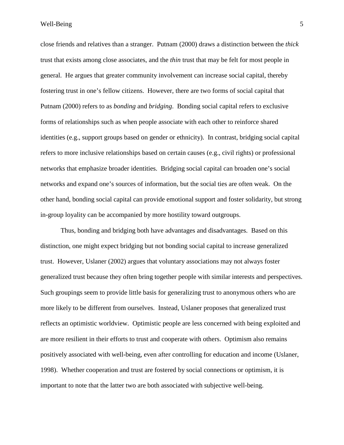close friends and relatives than a stranger. Putnam (2000) draws a distinction between the *thick* trust that exists among close associates, and the *thin* trust that may be felt for most people in general. He argues that greater community involvement can increase social capital, thereby fostering trust in one's fellow citizens. However, there are two forms of social capital that Putnam (2000) refers to as *bonding* and *bridging*. Bonding social capital refers to exclusive forms of relationships such as when people associate with each other to reinforce shared identities (e.g., support groups based on gender or ethnicity). In contrast, bridging social capital refers to more inclusive relationships based on certain causes (e.g., civil rights) or professional networks that emphasize broader identities. Bridging social capital can broaden one's social networks and expand one's sources of information, but the social ties are often weak. On the other hand, bonding social capital can provide emotional support and foster solidarity, but strong in-group loyality can be accompanied by more hostility toward outgroups.

Thus, bonding and bridging both have advantages and disadvantages. Based on this distinction, one might expect bridging but not bonding social capital to increase generalized trust. However, Uslaner (2002) argues that voluntary associations may not always foster generalized trust because they often bring together people with similar interests and perspectives. Such groupings seem to provide little basis for generalizing trust to anonymous others who are more likely to be different from ourselves. Instead, Uslaner proposes that generalized trust reflects an optimistic worldview. Optimistic people are less concerned with being exploited and are more resilient in their efforts to trust and cooperate with others. Optimism also remains positively associated with well-being, even after controlling for education and income (Uslaner, 1998). Whether cooperation and trust are fostered by social connections or optimism, it is important to note that the latter two are both associated with subjective well-being.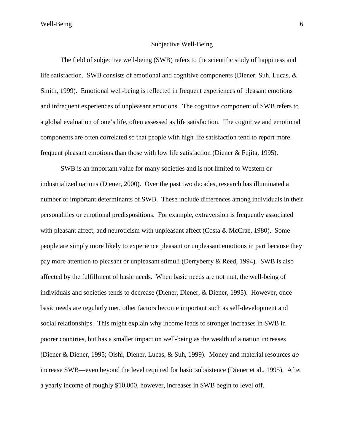#### Subjective Well-Being

The field of subjective well-being (SWB) refers to the scientific study of happiness and life satisfaction. SWB consists of emotional and cognitive components (Diener, Suh, Lucas, & Smith, 1999). Emotional well-being is reflected in frequent experiences of pleasant emotions and infrequent experiences of unpleasant emotions. The cognitive component of SWB refers to a global evaluation of one's life, often assessed as life satisfaction. The cognitive and emotional components are often correlated so that people with high life satisfaction tend to report more frequent pleasant emotions than those with low life satisfaction (Diener & Fujita, 1995).

SWB is an important value for many societies and is not limited to Western or industrialized nations (Diener, 2000). Over the past two decades, research has illuminated a number of important determinants of SWB. These include differences among individuals in their personalities or emotional predispositions. For example, extraversion is frequently associated with pleasant affect, and neuroticism with unpleasant affect (Costa & McCrae, 1980). Some people are simply more likely to experience pleasant or unpleasant emotions in part because they pay more attention to pleasant or unpleasant stimuli (Derryberry & Reed, 1994). SWB is also affected by the fulfillment of basic needs. When basic needs are not met, the well-being of individuals and societies tends to decrease (Diener, Diener, & Diener, 1995). However, once basic needs are regularly met, other factors become important such as self-development and social relationships. This might explain why income leads to stronger increases in SWB in poorer countries, but has a smaller impact on well-being as the wealth of a nation increases (Diener & Diener, 1995; Oishi, Diener, Lucas, & Suh, 1999). Money and material resources *do* increase SWB—even beyond the level required for basic subsistence (Diener et al., 1995). After a yearly income of roughly \$10,000, however, increases in SWB begin to level off.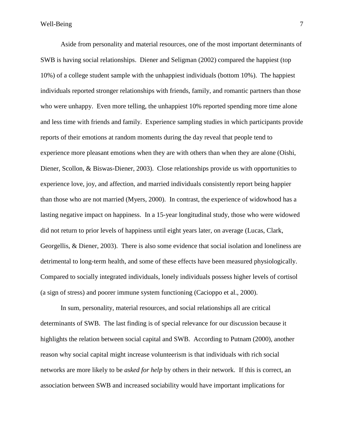Aside from personality and material resources, one of the most important determinants of SWB is having social relationships. Diener and Seligman (2002) compared the happiest (top 10%) of a college student sample with the unhappiest individuals (bottom 10%). The happiest individuals reported stronger relationships with friends, family, and romantic partners than those who were unhappy. Even more telling, the unhappiest 10% reported spending more time alone and less time with friends and family. Experience sampling studies in which participants provide reports of their emotions at random moments during the day reveal that people tend to experience more pleasant emotions when they are with others than when they are alone (Oishi, Diener, Scollon, & Biswas-Diener, 2003). Close relationships provide us with opportunities to experience love, joy, and affection, and married individuals consistently report being happier than those who are not married (Myers, 2000). In contrast, the experience of widowhood has a lasting negative impact on happiness. In a 15-year longitudinal study, those who were widowed did not return to prior levels of happiness until eight years later, on average (Lucas, Clark, Georgellis, & Diener, 2003). There is also some evidence that social isolation and loneliness are detrimental to long-term health, and some of these effects have been measured physiologically. Compared to socially integrated individuals, lonely individuals possess higher levels of cortisol (a sign of stress) and poorer immune system functioning (Cacioppo et al., 2000).

In sum, personality, material resources, and social relationships all are critical determinants of SWB. The last finding is of special relevance for our discussion because it highlights the relation between social capital and SWB. According to Putnam (2000), another reason why social capital might increase volunteerism is that individuals with rich social networks are more likely to be *asked for help* by others in their network. If this is correct, an association between SWB and increased sociability would have important implications for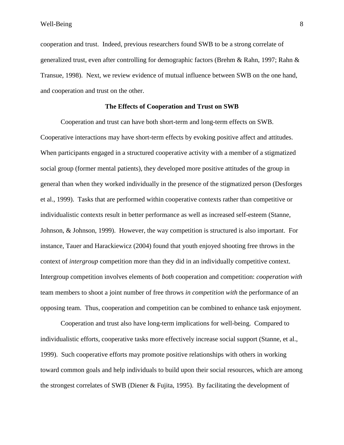cooperation and trust. Indeed, previous researchers found SWB to be a strong correlate of generalized trust, even after controlling for demographic factors (Brehm & Rahn, 1997; Rahn & Transue, 1998). Next, we review evidence of mutual influence between SWB on the one hand, and cooperation and trust on the other.

### **The Effects of Cooperation and Trust on SWB**

Cooperation and trust can have both short-term and long-term effects on SWB. Cooperative interactions may have short-term effects by evoking positive affect and attitudes. When participants engaged in a structured cooperative activity with a member of a stigmatized social group (former mental patients), they developed more positive attitudes of the group in general than when they worked individually in the presence of the stigmatized person (Desforges et al., 1999). Tasks that are performed within cooperative contexts rather than competitive or individualistic contexts result in better performance as well as increased self-esteem (Stanne, Johnson, & Johnson, 1999). However, the way competition is structured is also important. For instance, Tauer and Harackiewicz (2004) found that youth enjoyed shooting free throws in the context of *intergroup* competition more than they did in an individually competitive context. Intergroup competition involves elements of *both* cooperation and competition: *cooperation with* team members to shoot a joint number of free throws *in competition with* the performance of an opposing team. Thus, cooperation and competition can be combined to enhance task enjoyment.

Cooperation and trust also have long-term implications for well-being. Compared to individualistic efforts, cooperative tasks more effectively increase social support (Stanne, et al., 1999). Such cooperative efforts may promote positive relationships with others in working toward common goals and help individuals to build upon their social resources, which are among the strongest correlates of SWB (Diener & Fujita, 1995). By facilitating the development of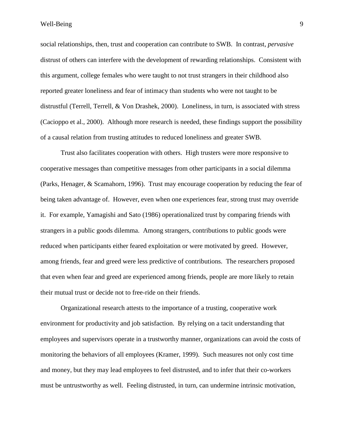social relationships, then, trust and cooperation can contribute to SWB. In contrast, *pervasive* distrust of others can interfere with the development of rewarding relationships. Consistent with this argument, college females who were taught to not trust strangers in their childhood also reported greater loneliness and fear of intimacy than students who were not taught to be distrustful (Terrell, Terrell, & Von Drashek, 2000). Loneliness, in turn, is associated with stress (Cacioppo et al., 2000). Although more research is needed, these findings support the possibility of a causal relation from trusting attitudes to reduced loneliness and greater SWB.

Trust also facilitates cooperation with others. High trusters were more responsive to cooperative messages than competitive messages from other participants in a social dilemma (Parks, Henager, & Scamahorn, 1996). Trust may encourage cooperation by reducing the fear of being taken advantage of. However, even when one experiences fear, strong trust may override it. For example, Yamagishi and Sato (1986) operationalized trust by comparing friends with strangers in a public goods dilemma. Among strangers, contributions to public goods were reduced when participants either feared exploitation or were motivated by greed. However, among friends, fear and greed were less predictive of contributions. The researchers proposed that even when fear and greed are experienced among friends, people are more likely to retain their mutual trust or decide not to free-ride on their friends.

Organizational research attests to the importance of a trusting, cooperative work environment for productivity and job satisfaction. By relying on a tacit understanding that employees and supervisors operate in a trustworthy manner, organizations can avoid the costs of monitoring the behaviors of all employees (Kramer, 1999). Such measures not only cost time and money, but they may lead employees to feel distrusted, and to infer that their co-workers must be untrustworthy as well. Feeling distrusted, in turn, can undermine intrinsic motivation,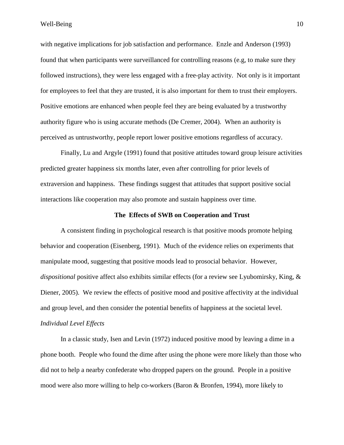with negative implications for job satisfaction and performance. Enzle and Anderson (1993) found that when participants were surveillanced for controlling reasons (e.g, to make sure they followed instructions), they were less engaged with a free-play activity. Not only is it important for employees to feel that they are trusted, it is also important for them to trust their employers. Positive emotions are enhanced when people feel they are being evaluated by a trustworthy authority figure who is using accurate methods (De Cremer, 2004). When an authority is perceived as untrustworthy, people report lower positive emotions regardless of accuracy.

Finally, Lu and Argyle (1991) found that positive attitudes toward group leisure activities predicted greater happiness six months later, even after controlling for prior levels of extraversion and happiness. These findings suggest that attitudes that support positive social interactions like cooperation may also promote and sustain happiness over time.

#### **The Effects of SWB on Cooperation and Trust**

A consistent finding in psychological research is that positive moods promote helping behavior and cooperation (Eisenberg, 1991). Much of the evidence relies on experiments that manipulate mood, suggesting that positive moods lead to prosocial behavior. However, *dispositional* positive affect also exhibits similar effects (for a review see Lyubomirsky, King, & Diener, 2005). We review the effects of positive mood and positive affectivity at the individual and group level, and then consider the potential benefits of happiness at the societal level. *Individual Level Effects*

In a classic study, Isen and Levin (1972) induced positive mood by leaving a dime in a phone booth. People who found the dime after using the phone were more likely than those who did not to help a nearby confederate who dropped papers on the ground. People in a positive mood were also more willing to help co-workers (Baron & Bronfen, 1994), more likely to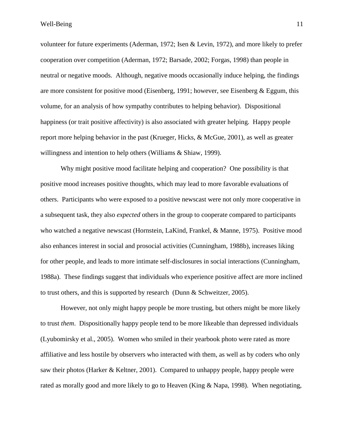volunteer for future experiments (Aderman, 1972; Isen & Levin, 1972), and more likely to prefer cooperation over competition (Aderman, 1972; Barsade, 2002; Forgas, 1998) than people in neutral or negative moods. Although, negative moods occasionally induce helping, the findings are more consistent for positive mood (Eisenberg, 1991; however, see Eisenberg & Eggum, this volume, for an analysis of how sympathy contributes to helping behavior). Dispositional happiness (or trait positive affectivity) is also associated with greater helping. Happy people report more helping behavior in the past (Krueger, Hicks, & McGue, 2001), as well as greater willingness and intention to help others (Williams & Shiaw, 1999).

Why might positive mood facilitate helping and cooperation? One possibility is that positive mood increases positive thoughts, which may lead to more favorable evaluations of others. Participants who were exposed to a positive newscast were not only more cooperative in a subsequent task, they also *expected* others in the group to cooperate compared to participants who watched a negative newscast (Hornstein, LaKind, Frankel, & Manne, 1975). Positive mood also enhances interest in social and prosocial activities (Cunningham, 1988b), increases liking for other people, and leads to more intimate self-disclosures in social interactions (Cunningham, 1988a). These findings suggest that individuals who experience positive affect are more inclined to trust others, and this is supported by research (Dunn & Schweitzer, 2005).

However, not only might happy people be more trusting, but others might be more likely to trust *them*. Dispositionally happy people tend to be more likeable than depressed individuals (Lyubomirsky et al., 2005). Women who smiled in their yearbook photo were rated as more affiliative and less hostile by observers who interacted with them, as well as by coders who only saw their photos (Harker & Keltner, 2001). Compared to unhappy people, happy people were rated as morally good and more likely to go to Heaven (King & Napa, 1998). When negotiating,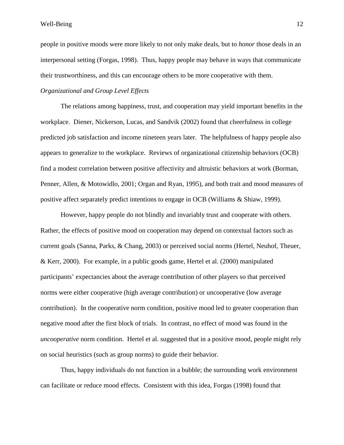people in positive moods were more likely to not only make deals, but to *honor* those deals in an interpersonal setting (Forgas, 1998). Thus, happy people may behave in ways that communicate their trustworthiness, and this can encourage others to be more cooperative with them.

#### *Organizational and Group Level Effects*

The relations among happiness, trust, and cooperation may yield important benefits in the workplace. Diener, Nickerson, Lucas, and Sandvik (2002) found that cheerfulness in college predicted job satisfaction and income nineteen years later. The helpfulness of happy people also appears to generalize to the workplace. Reviews of organizational citizenship behaviors (OCB) find a modest correlation between positive affectivity and altruistic behaviors at work (Borman, Penner, Allen, & Motowidlo, 2001; Organ and Ryan, 1995), and both trait and mood measures of positive affect separately predict intentions to engage in OCB (Williams & Shiaw, 1999).

However, happy people do not blindly and invariably trust and cooperate with others. Rather, the effects of positive mood on cooperation may depend on contextual factors such as current goals (Sanna, Parks, & Chang, 2003) or perceived social norms (Hertel, Neuhof, Theuer, & Kerr, 2000). For example, in a public goods game, Hertel et al. (2000) manipulated participants' expectancies about the average contribution of other players so that perceived norms were either cooperative (high average contribution) or uncooperative (low average contribution). In the cooperative norm condition, positive mood led to greater cooperation than negative mood after the first block of trials. In contrast, no effect of mood was found in the *uncooperative* norm condition. Hertel et al. suggested that in a positive mood, people might rely on social heuristics (such as group norms) to guide their behavior.

Thus, happy individuals do not function in a bubble; the surrounding work environment can facilitate or reduce mood effects. Consistent with this idea, Forgas (1998) found that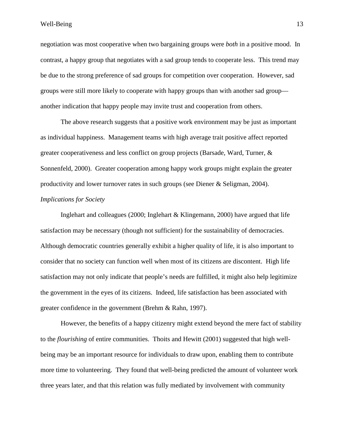negotiation was most cooperative when two bargaining groups were *both* in a positive mood. In contrast, a happy group that negotiates with a sad group tends to cooperate less. This trend may be due to the strong preference of sad groups for competition over cooperation. However, sad groups were still more likely to cooperate with happy groups than with another sad group another indication that happy people may invite trust and cooperation from others.

The above research suggests that a positive work environment may be just as important as individual happiness. Management teams with high average trait positive affect reported greater cooperativeness and less conflict on group projects (Barsade, Ward, Turner, & Sonnenfeld, 2000). Greater cooperation among happy work groups might explain the greater productivity and lower turnover rates in such groups (see Diener & Seligman, 2004). *Implications for Society*

Inglehart and colleagues (2000; Inglehart & Klingemann, 2000) have argued that life satisfaction may be necessary (though not sufficient) for the sustainability of democracies. Although democratic countries generally exhibit a higher quality of life, it is also important to consider that no society can function well when most of its citizens are discontent. High life satisfaction may not only indicate that people's needs are fulfilled, it might also help legitimize the government in the eyes of its citizens. Indeed, life satisfaction has been associated with greater confidence in the government (Brehm & Rahn, 1997).

However, the benefits of a happy citizenry might extend beyond the mere fact of stability to the *flourishing* of entire communities. Thoits and Hewitt (2001) suggested that high wellbeing may be an important resource for individuals to draw upon, enabling them to contribute more time to volunteering. They found that well-being predicted the amount of volunteer work three years later, and that this relation was fully mediated by involvement with community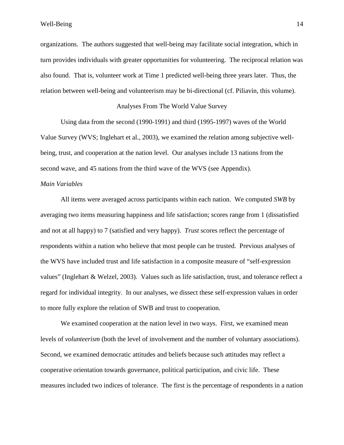organizations. The authors suggested that well-being may facilitate social integration, which in turn provides individuals with greater opportunities for volunteering. The reciprocal relation was also found. That is, volunteer work at Time 1 predicted well-being three years later. Thus, the relation between well-being and volunteerism may be bi-directional (cf. Piliavin, this volume).

#### Analyses From The World Value Survey

Using data from the second (1990-1991) and third (1995-1997) waves of the World Value Survey (WVS; Inglehart et al., 2003), we examined the relation among subjective wellbeing, trust, and cooperation at the nation level. Our analyses include 13 nations from the second wave, and 45 nations from the third wave of the WVS (see Appendix).

#### *Main Variables*

All items were averaged across participants within each nation. We computed *SWB* by averaging two items measuring happiness and life satisfaction; scores range from 1 (dissatisfied and not at all happy) to 7 (satisfied and very happy). *Trust* scores reflect the percentage of respondents within a nation who believe that most people can be trusted. Previous analyses of the WVS have included trust and life satisfaction in a composite measure of "self-expression values" (Inglehart & Welzel, 2003). Values such as life satisfaction, trust, and tolerance reflect a regard for individual integrity. In our analyses, we dissect these self-expression values in order to more fully explore the relation of SWB and trust to cooperation.

We examined cooperation at the nation level in two ways. First, we examined mean levels of *volunteerism* (both the level of involvement and the number of voluntary associations). Second, we examined democratic attitudes and beliefs because such attitudes may reflect a cooperative orientation towards governance, political participation, and civic life. These measures included two indices of tolerance. The first is the percentage of respondents in a nation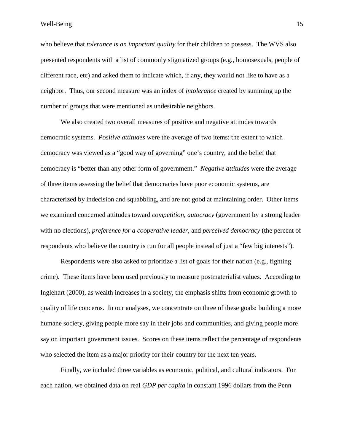who believe that *tolerance is an important quality* for their children to possess. The WVS also presented respondents with a list of commonly stigmatized groups (e.g., homosexuals, people of different race, etc) and asked them to indicate which, if any, they would not like to have as a neighbor. Thus, our second measure was an index of *intolerance* created by summing up the number of groups that were mentioned as undesirable neighbors.

We also created two overall measures of positive and negative attitudes towards democratic systems. *Positive attitudes* were the average of two items: the extent to which democracy was viewed as a "good way of governing" one's country, and the belief that democracy is "better than any other form of government." *Negative attitudes* were the average of three items assessing the belief that democracies have poor economic systems, are characterized by indecision and squabbling, and are not good at maintaining order. Other items we examined concerned attitudes toward *competition*, *autocracy* (government by a strong leader with no elections), *preference for a cooperative leader*, and *perceived democracy* (the percent of respondents who believe the country is run for all people instead of just a "few big interests").

Respondents were also asked to prioritize a list of goals for their nation (e.g., fighting crime). These items have been used previously to measure postmaterialist values. According to Inglehart (2000), as wealth increases in a society, the emphasis shifts from economic growth to quality of life concerns. In our analyses, we concentrate on three of these goals: building a more humane society, giving people more say in their jobs and communities, and giving people more say on important government issues. Scores on these items reflect the percentage of respondents who selected the item as a major priority for their country for the next ten years.

Finally, we included three variables as economic, political, and cultural indicators. For each nation, we obtained data on real *GDP per capita* in constant 1996 dollars from the Penn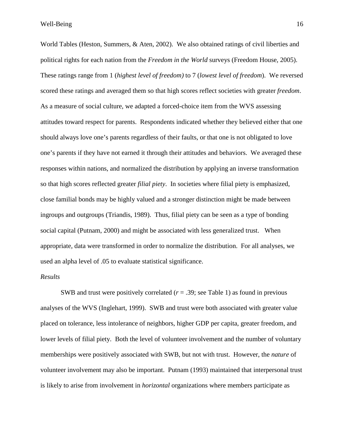World Tables (Heston, Summers, & Aten, 2002). We also obtained ratings of civil liberties and political rights for each nation from the *Freedom in the World* surveys (Freedom House, 2005). These ratings range from 1 (*highest level of freedom)* to 7 (*lowest level of freedom*). We reversed scored these ratings and averaged them so that high scores reflect societies with greater *freedom*. As a measure of social culture, we adapted a forced-choice item from the WVS assessing attitudes toward respect for parents. Respondents indicated whether they believed either that one should always love one's parents regardless of their faults, or that one is not obligated to love one's parents if they have not earned it through their attitudes and behaviors. We averaged these responses within nations, and normalized the distribution by applying an inverse transformation so that high scores reflected greater *filial piety*. In societies where filial piety is emphasized, close familial bonds may be highly valued and a stronger distinction might be made between ingroups and outgroups (Triandis, 1989). Thus, filial piety can be seen as a type of bonding social capital (Putnam, 2000) and might be associated with less generalized trust. When appropriate, data were transformed in order to normalize the distribution. For all analyses, we used an alpha level of .05 to evaluate statistical significance.

#### *Results*

SWB and trust were positively correlated  $(r = .39)$ ; see Table 1) as found in previous analyses of the WVS (Inglehart, 1999). SWB and trust were both associated with greater value placed on tolerance, less intolerance of neighbors, higher GDP per capita, greater freedom, and lower levels of filial piety. Both the level of volunteer involvement and the number of voluntary memberships were positively associated with SWB, but not with trust. However, the *nature* of volunteer involvement may also be important. Putnam (1993) maintained that interpersonal trust is likely to arise from involvement in *horizontal* organizations where members participate as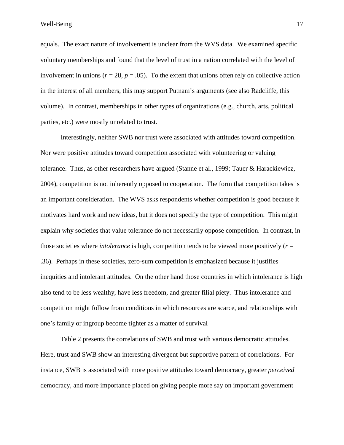equals. The exact nature of involvement is unclear from the WVS data. We examined specific voluntary memberships and found that the level of trust in a nation correlated with the level of involvement in unions ( $r = 28$ ,  $p = .05$ ). To the extent that unions often rely on collective action in the interest of all members, this may support Putnam's arguments (see also Radcliffe, this volume). In contrast, memberships in other types of organizations (e.g., church, arts, political parties, etc.) were mostly unrelated to trust.

Interestingly, neither SWB nor trust were associated with attitudes toward competition. Nor were positive attitudes toward competition associated with volunteering or valuing tolerance. Thus, as other researchers have argued (Stanne et al., 1999; Tauer & Harackiewicz, 2004), competition is not inherently opposed to cooperation. The form that competition takes is an important consideration. The WVS asks respondents whether competition is good because it motivates hard work and new ideas, but it does not specify the type of competition. This might explain why societies that value tolerance do not necessarily oppose competition. In contrast, in those societies where *intolerance* is high, competition tends to be viewed more positively (*r* = .36). Perhaps in these societies, zero-sum competition is emphasized because it justifies inequities and intolerant attitudes. On the other hand those countries in which intolerance is high also tend to be less wealthy, have less freedom, and greater filial piety. Thus intolerance and competition might follow from conditions in which resources are scarce, and relationships with one's family or ingroup become tighter as a matter of survival

Table 2 presents the correlations of SWB and trust with various democratic attitudes. Here, trust and SWB show an interesting divergent but supportive pattern of correlations. For instance, SWB is associated with more positive attitudes toward democracy, greater *perceived* democracy, and more importance placed on giving people more say on important government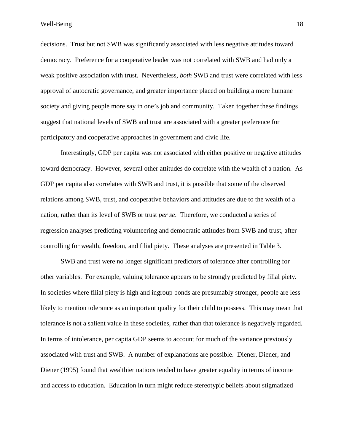decisions. Trust but not SWB was significantly associated with less negative attitudes toward democracy. Preference for a cooperative leader was not correlated with SWB and had only a weak positive association with trust. Nevertheless, *both* SWB and trust were correlated with less approval of autocratic governance, and greater importance placed on building a more humane society and giving people more say in one's job and community. Taken together these findings suggest that national levels of SWB and trust are associated with a greater preference for participatory and cooperative approaches in government and civic life.

Interestingly, GDP per capita was not associated with either positive or negative attitudes toward democracy. However, several other attitudes do correlate with the wealth of a nation. As GDP per capita also correlates with SWB and trust, it is possible that some of the observed relations among SWB, trust, and cooperative behaviors and attitudes are due to the wealth of a nation, rather than its level of SWB or trust *per se*. Therefore, we conducted a series of regression analyses predicting volunteering and democratic attitudes from SWB and trust, after controlling for wealth, freedom, and filial piety. These analyses are presented in Table 3.

SWB and trust were no longer significant predictors of tolerance after controlling for other variables. For example, valuing tolerance appears to be strongly predicted by filial piety. In societies where filial piety is high and ingroup bonds are presumably stronger, people are less likely to mention tolerance as an important quality for their child to possess. This may mean that tolerance is not a salient value in these societies, rather than that tolerance is negatively regarded. In terms of intolerance, per capita GDP seems to account for much of the variance previously associated with trust and SWB. A number of explanations are possible. Diener, Diener, and Diener (1995) found that wealthier nations tended to have greater equality in terms of income and access to education. Education in turn might reduce stereotypic beliefs about stigmatized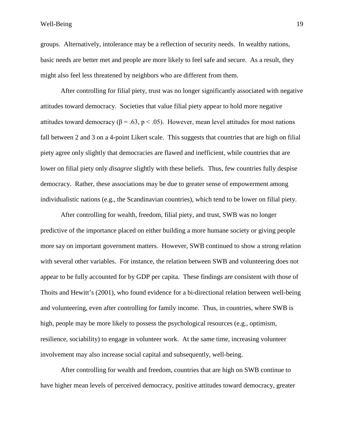groups. Alternatively, intolerance may be a reflection of security needs. In wealthy nations, basic needs are better met and people are more likely to feel safe and secure. As a result, they might also feel less threatened by neighbors who are different from them.

After controlling for filial piety, trust was no longer significantly associated with negative attitudes toward democracy. Societies that value filial piety appear to hold more negative attitudes toward democracy ( $\beta = .63$ ,  $p < .05$ ). However, mean level attitudes for most nations fall between 2 and 3 on a 4-point Likert scale. This suggests that countries that are high on filial piety agree only slightly that democracies are flawed and inefficient, while countries that are lower on filial piety only *disagree* slightly with these beliefs. Thus, few countries fully despise democracy. Rather, these associations may be due to greater sense of empowerment among individualistic nations (e.g., the Scandinavian countries), which tend to be lower on filial piety.

After controlling for wealth, freedom, filial piety, and trust, SWB was no longer predictive of the importance placed on either building a more humane society or giving people more say on important government matters. However, SWB continued to show a strong relation with several other variables. For instance, the relation between SWB and volunteering does not appear to be fully accounted for by GDP per capita. These findings are consistent with those of Thoits and Hewitt's (2001), who found evidence for a bi-directional relation between well-being and volunteering, even after controlling for family income. Thus, in countries, where SWB is high, people may be more likely to possess the psychological resources (e.g., optimism, resilience, sociability) to engage in volunteer work. At the same time, increasing volunteer involvement may also increase social capital and subsequently, well-being.

After controlling for wealth and freedom, countries that are high on SWB continue to have higher mean levels of perceived democracy, positive attitudes toward democracy, greater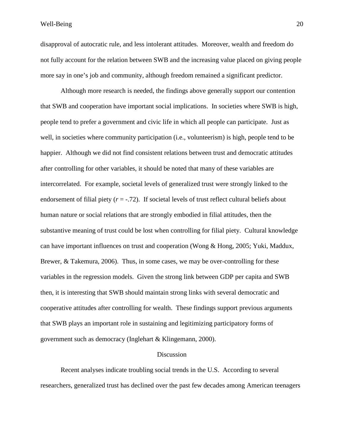disapproval of autocratic rule, and less intolerant attitudes. Moreover, wealth and freedom do not fully account for the relation between SWB and the increasing value placed on giving people more say in one's job and community, although freedom remained a significant predictor.

Although more research is needed, the findings above generally support our contention that SWB and cooperation have important social implications. In societies where SWB is high, people tend to prefer a government and civic life in which all people can participate. Just as well, in societies where community participation (i.e., volunteerism) is high, people tend to be happier. Although we did not find consistent relations between trust and democratic attitudes after controlling for other variables, it should be noted that many of these variables are intercorrelated. For example, societal levels of generalized trust were strongly linked to the endorsement of filial piety  $(r = -0.72)$ . If societal levels of trust reflect cultural beliefs about human nature or social relations that are strongly embodied in filial attitudes, then the substantive meaning of trust could be lost when controlling for filial piety. Cultural knowledge can have important influences on trust and cooperation (Wong & Hong, 2005; Yuki, Maddux, Brewer, & Takemura, 2006). Thus, in some cases, we may be over-controlling for these variables in the regression models. Given the strong link between GDP per capita and SWB then, it is interesting that SWB should maintain strong links with several democratic and cooperative attitudes after controlling for wealth. These findings support previous arguments that SWB plays an important role in sustaining and legitimizing participatory forms of government such as democracy (Inglehart & Klingemann, 2000).

#### Discussion

Recent analyses indicate troubling social trends in the U.S. According to several researchers, generalized trust has declined over the past few decades among American teenagers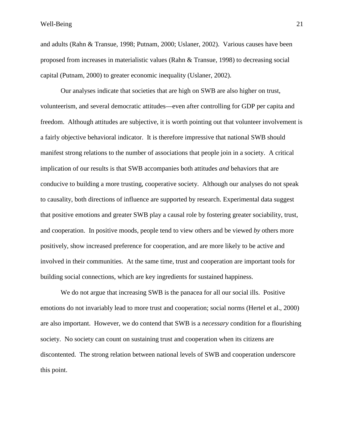and adults (Rahn & Transue, 1998; Putnam, 2000; Uslaner, 2002). Various causes have been proposed from increases in materialistic values (Rahn & Transue, 1998) to decreasing social capital (Putnam, 2000) to greater economic inequality (Uslaner, 2002).

Our analyses indicate that societies that are high on SWB are also higher on trust, volunteerism, and several democratic attitudes—even after controlling for GDP per capita and freedom. Although attitudes are subjective, it is worth pointing out that volunteer involvement is a fairly objective behavioral indicator. It is therefore impressive that national SWB should manifest strong relations to the number of associations that people join in a society. A critical implication of our results is that SWB accompanies both attitudes *and* behaviors that are conducive to building a more trusting, cooperative society. Although our analyses do not speak to causality, both directions of influence are supported by research. Experimental data suggest that positive emotions and greater SWB play a causal role by fostering greater sociability, trust, and cooperation. In positive moods, people tend to view others and be viewed *by* others more positively, show increased preference for cooperation, and are more likely to be active and involved in their communities. At the same time, trust and cooperation are important tools for building social connections, which are key ingredients for sustained happiness.

We do not argue that increasing SWB is the panacea for all our social ills. Positive emotions do not invariably lead to more trust and cooperation; social norms (Hertel et al., 2000) are also important. However, we do contend that SWB is a *necessary* condition for a flourishing society. No society can count on sustaining trust and cooperation when its citizens are discontented. The strong relation between national levels of SWB and cooperation underscore this point.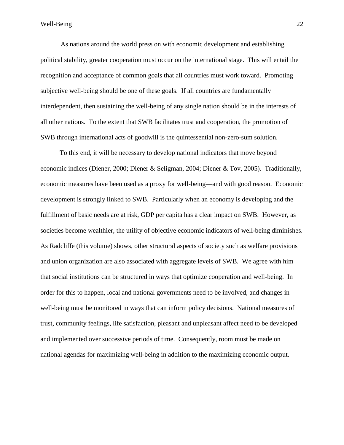As nations around the world press on with economic development and establishing political stability, greater cooperation must occur on the international stage. This will entail the recognition and acceptance of common goals that all countries must work toward. Promoting subjective well-being should be one of these goals. If all countries are fundamentally interdependent, then sustaining the well-being of any single nation should be in the interests of all other nations. To the extent that SWB facilitates trust and cooperation, the promotion of SWB through international acts of goodwill is the quintessential non-zero-sum solution.

To this end, it will be necessary to develop national indicators that move beyond economic indices (Diener, 2000; Diener & Seligman, 2004; Diener & Tov, 2005). Traditionally, economic measures have been used as a proxy for well-being—and with good reason. Economic development is strongly linked to SWB. Particularly when an economy is developing and the fulfillment of basic needs are at risk, GDP per capita has a clear impact on SWB. However, as societies become wealthier, the utility of objective economic indicators of well-being diminishes. As Radcliffe (this volume) shows, other structural aspects of society such as welfare provisions and union organization are also associated with aggregate levels of SWB. We agree with him that social institutions can be structured in ways that optimize cooperation and well-being. In order for this to happen, local and national governments need to be involved, and changes in well-being must be monitored in ways that can inform policy decisions. National measures of trust, community feelings, life satisfaction, pleasant and unpleasant affect need to be developed and implemented over successive periods of time. Consequently, room must be made on national agendas for maximizing well-being in addition to the maximizing economic output.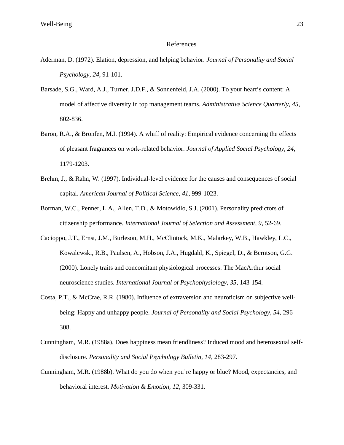#### References

- Aderman, D. (1972). Elation, depression, and helping behavior. *Journal of Personality and Social Psychology, 24*, 91-101.
- Barsade, S.G., Ward, A.J., Turner, J.D.F., & Sonnenfeld, J.A. (2000). To your heart's content: A model of affective diversity in top management teams. *Administrative Science Quarterly, 45*, 802-836.
- Baron, R.A., & Bronfen, M.I. (1994). A whiff of reality: Empirical evidence concerning the effects of pleasant fragrances on work-related behavior. *Journal of Applied Social Psychology, 24*, 1179-1203.
- Brehm, J., & Rahn, W. (1997). Individual-level evidence for the causes and consequences of social capital. *American Journal of Political Science, 41*, 999-1023.
- Borman, W.C., Penner, L.A., Allen, T.D., & Motowidlo, S.J. (2001). Personality predictors of citizenship performance. *International Journal of Selection and Assessment, 9*, 52-69.
- Cacioppo, J.T., Ernst, J.M., Burleson, M.H., McClintock, M.K., Malarkey, W.B., Hawkley, L.C., Kowalewski, R.B., Paulsen, A., Hobson, J.A., Hugdahl, K., Spiegel, D., & Berntson, G.G. (2000). Lonely traits and concomitant physiological processes: The MacArthur social neuroscience studies. *International Journal of Psychophysiology, 35*, 143-154.
- Costa, P.T., & McCrae, R.R. (1980). Influence of extraversion and neuroticism on subjective wellbeing: Happy and unhappy people. *Journal of Personality and Social Psychology, 54*, 296- 308.
- Cunningham, M.R. (1988a). Does happiness mean friendliness? Induced mood and heterosexual selfdisclosure. *Personality and Social Psychology Bulletin, 14*, 283-297.
- Cunningham, M.R. (1988b). What do you do when you're happy or blue? Mood, expectancies, and behavioral interest. *Motivation & Emotion, 12*, 309-331.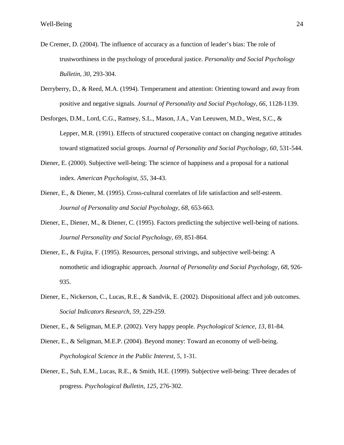- De Cremer, D. (2004). The influence of accuracy as a function of leader's bias: The role of trustworthiness in the psychology of procedural justice. *Personality and Social Psychology Bulletin, 30*, 293-304.
- Derryberry, D., & Reed, M.A. (1994). Temperament and attention: Orienting toward and away from positive and negative signals. *Journal of Personality and Social Psychology, 66*, 1128-1139.
- Desforges, D.M., Lord, C.G., Ramsey, S.L., Mason, J.A., Van Leeuwen, M.D., West, S.C., & Lepper, M.R. (1991). Effects of structured cooperative contact on changing negative attitudes toward stigmatized social groups. *Journal of Personality and Social Psychology, 60*, 531-544.
- Diener, E. (2000). Subjective well-being: The science of happiness and a proposal for a national index. *American Psychologist, 55*, 34-43.
- Diener, E., & Diener, M. (1995). Cross-cultural correlates of life satisfaction and self-esteem. *Journal of Personality and Social Psychology, 68,* 653-663.
- Diener, E., Diener, M., & Diener, C. (1995). Factors predicting the subjective well-being of nations. *Journal Personality and Social Psychology, 69*, 851-864.
- Diener, E., & Fujita, F. (1995). Resources, personal strivings, and subjective well-being: A nomothetic and idiographic approach. *Journal of Personality and Social Psychology, 68,* 926- 935.
- Diener, E., Nickerson, C., Lucas, R.E., & Sandvik, E. (2002). Dispositional affect and job outcomes. *Social Indicators Research, 59*, 229-259.
- Diener, E., & Seligman, M.E.P. (2002). Very happy people. *Psychological Science, 13*, 81-84.
- Diener, E., & Seligman, M.E.P. (2004). Beyond money: Toward an economy of well-being. *Psychological Science in the Public Interest, 5*, 1-31.
- Diener, E., Suh, E.M., Lucas, R.E., & Smith, H.E. (1999). Subjective well-being: Three decades of progress. *Psychological Bulletin, 125*, 276-302.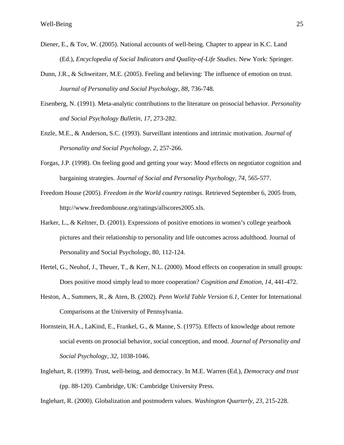- Diener, E., & Tov, W. (2005). National accounts of well-being. Chapter to appear in K.C. Land (Ed.), *Encyclopedia of Social Indicators and Quality-of-Life Studies*. New York: Springer.
- Dunn, J.R., & Schweitzer, M.E. (2005). Feeling and believing: The influence of emotion on trust. *Journal of Personality and Social Psychology, 88*, 736-748.
- Eisenberg, N. (1991). Meta-analytic contributions to the literature on prosocial behavior. *Personality and Social Psychology Bulletin, 17*, 273-282.
- Enzle, M.E., & Anderson, S.C. (1993). Surveillant intentions and intrinsic motivation. *Journal of Personality and Social Psychology, 2*, 257-266.
- Forgas, J.P. (1998). On feeling good and getting your way: Mood effects on negotiator cognition and bargaining strategies. *Journal of Social and Personality Psychology, 74*, 565-577.
- Freedom House (2005). *Freedom in the World country ratings*. Retrieved September 6, 2005 from, http://www.freedomhouse.org/ratings/allscores2005.xls.
- Harker, L., & Keltner, D. (2001). Expressions of positive emotions in women's college yearbook pictures and their relationship to personality and life outcomes across adulthood. Journal of Personality and Social Psychology, 80, 112-124.
- Hertel, G., Neuhof, J., Theuer, T., & Kerr, N.L. (2000). Mood effects on cooperation in small groups: Does positive mood simply lead to more cooperation? *Cognition and Emotion, 14*, 441-472.
- Heston, A., Summers, R., & Aten, B. (2002). *Penn World Table Version 6.1*, Center for International Comparisons at the University of Pennsylvania.
- Hornstein, H.A., LaKind, E., Frankel, G., & Manne, S. (1975). Effects of knowledge about remote social events on prosocial behavior, social conception, and mood. *Journal of Personality and Social Psychology, 32*, 1038-1046.
- Inglehart, R. (1999). Trust, well-being, and democracy. In M.E. Warren (Ed.), *Democracy and trust* (pp. 88-120). Cambridge, UK: Cambridge University Press.

Inglehart, R. (2000). Globalization and postmodern values. *Washington Quarterly, 23*, 215-228.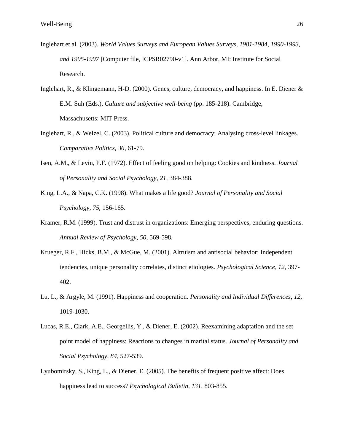- Inglehart et al. (2003). *World Values Surveys and European Values Surveys, 1981-1984, 1990-1993, and 1995-1997* [Computer file, ICPSR02790-v1]. Ann Arbor, MI: Institute for Social Research.
- Inglehart, R., & Klingemann, H-D. (2000). Genes, culture, democracy, and happiness. In E. Diener & E.M. Suh (Eds.), *Culture and subjective well-being* (pp. 185-218). Cambridge, Massachusetts: MIT Press.
- Inglehart, R., & Welzel, C. (2003). Political culture and democracy: Analysing cross-level linkages. *Comparative Politics, 36*, 61-79.
- Isen, A.M., & Levin, P.F. (1972). Effect of feeling good on helping: Cookies and kindness. *Journal of Personality and Social Psychology, 21*, 384-388.
- King, L.A., & Napa, C.K. (1998). What makes a life good? *Journal of Personality and Social Psychology, 75,* 156-165.
- Kramer, R.M. (1999). Trust and distrust in organizations: Emerging perspectives, enduring questions. *Annual Review of Psychology, 50*, 569-598.
- Krueger, R.F., Hicks, B.M., & McGue, M. (2001). Altruism and antisocial behavior: Independent tendencies, unique personality correlates, distinct etiologies. *Psychological Science, 12*, 397- 402.
- Lu, L., & Argyle, M. (1991). Happiness and cooperation. *Personality and Individual Differences*, *12*, 1019-1030.
- Lucas, R.E., Clark, A.E., Georgellis, Y., & Diener, E. (2002). Reexamining adaptation and the set point model of happiness: Reactions to changes in marital status. *Journal of Personality and Social Psychology, 84*, 527-539.
- Lyubomirsky, S., King, L., & Diener, E. (2005). The benefits of frequent positive affect: Does happiness lead to success? *Psychological Bulletin, 131*, 803-855.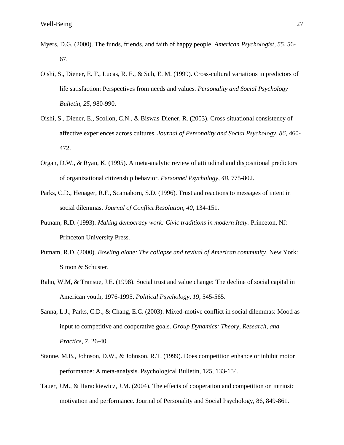- Myers, D.G. (2000). The funds, friends, and faith of happy people. *American Psychologist, 55*, 56- 67.
- Oishi, S., Diener, E. F., Lucas, R. E., & Suh, E. M. (1999). Cross-cultural variations in predictors of life satisfaction: Perspectives from needs and values. *Personality and Social Psychology Bulletin, 25*, 980-990.
- Oishi, S., Diener, E., Scollon, C.N., & Biswas-Diener, R. (2003). Cross-situational consistency of affective experiences across cultures. *Journal of Personality and Social Psychology, 86*, 460- 472.
- Organ, D.W., & Ryan, K. (1995). A meta-analytic review of attitudinal and dispositional predictors of organizational citizenship behavior. *Personnel Psychology, 48*, 775-802.
- Parks, C.D., Henager, R.F., Scamahorn, S.D. (1996). Trust and reactions to messages of intent in social dilemmas. *Journal of Conflict Resolution, 40*, 134-151.
- Putnam, R.D. (1993). *Making democracy work: Civic traditions in modern Italy.* Princeton, NJ: Princeton University Press.
- Putnam, R.D. (2000). *Bowling alone: The collapse and revival of American community*. New York: Simon & Schuster.
- Rahn, W.M, & Transue, J.E. (1998). Social trust and value change: The decline of social capital in American youth, 1976-1995. *Political Psychology, 19*, 545-565.
- Sanna, L.J., Parks, C.D., & Chang, E.C. (2003). Mixed-motive conflict in social dilemmas: Mood as input to competitive and cooperative goals. *Group Dynamics: Theory, Research, and Practice, 7*, 26-40.
- Stanne, M.B., Johnson, D.W., & Johnson, R.T. (1999). Does competition enhance or inhibit motor performance: A meta-analysis. Psychological Bulletin, 125, 133-154.
- Tauer, J.M., & Harackiewicz, J.M. (2004). The effects of cooperation and competition on intrinsic motivation and performance. Journal of Personality and Social Psychology, 86, 849-861.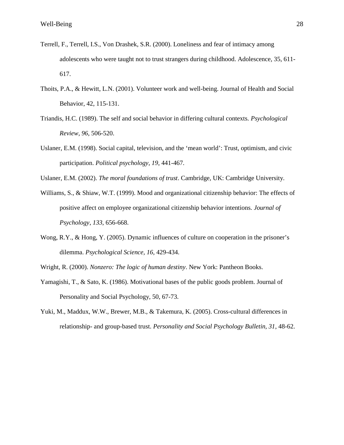- Terrell, F., Terrell, I.S., Von Drashek, S.R. (2000). Loneliness and fear of intimacy among adolescents who were taught not to trust strangers during childhood. Adolescence, 35, 611- 617.
- Thoits, P.A., & Hewitt, L.N. (2001). Volunteer work and well-being. Journal of Health and Social Behavior, 42, 115-131.
- Triandis, H.C. (1989). The self and social behavior in differing cultural contexts. *Psychological Review, 96*, 506-520.
- Uslaner, E.M. (1998). Social capital, television, and the 'mean world': Trust, optimism, and civic participation. *Political psychology, 19*, 441-467.

Uslaner, E.M. (2002). *The moral foundations of trust*. Cambridge, UK: Cambridge University.

- Williams, S., & Shiaw, W.T. (1999). Mood and organizational citizenship behavior: The effects of positive affect on employee organizational citizenship behavior intentions. *Journal of Psychology*, *133*, 656-668.
- Wong, R.Y., & Hong, Y. (2005). Dynamic influences of culture on cooperation in the prisoner's dilemma. *Psychological Science, 16*, 429-434.
- Wright, R. (2000). *Nonzero: The logic of human destiny*. New York: Pantheon Books.
- Yamagishi, T., & Sato, K. (1986). Motivational bases of the public goods problem. Journal of Personality and Social Psychology, 50, 67-73.
- Yuki, M., Maddux, W.W., Brewer, M.B., & Takemura, K. (2005). Cross-cultural differences in relationship- and group-based trust. *Personality and Social Psychology Bulletin, 31*, 48-62.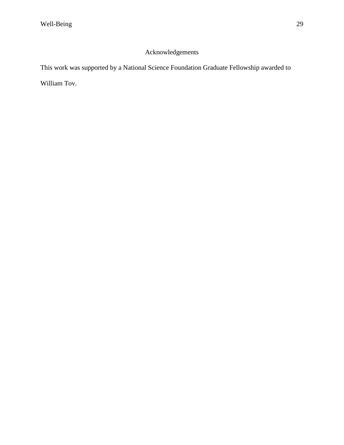## Acknowledgements

This work was supported by a National Science Foundation Graduate Fellowship awarded to William Tov.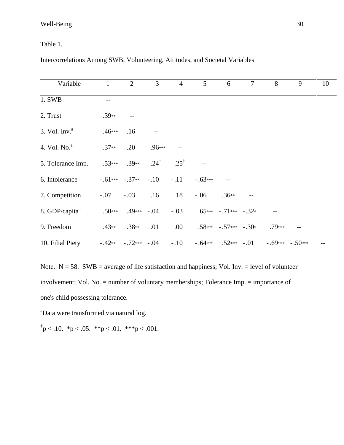Table 1.

## Intercorrelations Among SWB, Volunteering, Attitudes, and Societal Variables

| Variable                   | $\mathbf{1}$      | $\overline{2}$  | $\mathfrak{Z}$                                   | $\overline{4}$ | 5 <sup>5</sup>                                                     | 6 | $\tau$ | 8                | 9 | 10 |
|----------------------------|-------------------|-----------------|--------------------------------------------------|----------------|--------------------------------------------------------------------|---|--------|------------------|---|----|
| 1. SWB                     | $\qquad \qquad -$ |                 |                                                  |                |                                                                    |   |        |                  |   |    |
| 2. Trust                   | $.39**$           |                 |                                                  |                |                                                                    |   |        |                  |   |    |
| $3.$ Vol. Inv. $^a$        | .46***            | .16             |                                                  |                |                                                                    |   |        |                  |   |    |
| 4. Vol. No. <sup>a</sup>   | $.37**$           | .20             | $.96***$                                         |                |                                                                    |   |        |                  |   |    |
| 5. Tolerance Imp.          |                   |                 | $.53***$ $.39**$ $.24^{\dagger}$ $.25^{\dagger}$ |                |                                                                    |   |        |                  |   |    |
| 6. Intolerance             |                   |                 |                                                  |                | $-.61***$ $-.37**$ $-.10$ $-.11$ $-.63***$                         |   |        |                  |   |    |
| 7. Competition             |                   |                 | $-.07-.03-.16-.18$                               |                | $-.06$ .36**                                                       |   |        |                  |   |    |
| 8. GDP/capita <sup>a</sup> |                   |                 |                                                  |                | .50*** .49*** $-0.04$ $-0.03$ .65*** $-0.71$ *** $-0.32$ *         |   |        |                  |   |    |
| 9. Freedom                 |                   | $.43**$ $.38**$ | .01                                              |                | .00 .58*** $-0.57***$ $-0.30*$ .79***                              |   |        |                  |   |    |
| 10. Filial Piety           |                   |                 |                                                  |                | $-0.42**$ $-0.72***$ $-0.04$ $-0.10$ $-0.64***$ $-0.52***$ $-0.01$ |   |        | $-.69***-.50***$ |   |    |

Note.  $N = 58$ . SWB = average of life satisfaction and happiness; Vol. Inv. = level of volunteer involvement; Vol. No. = number of voluntary memberships; Tolerance Imp. = importance of one's child possessing tolerance.

<sup>a</sup>Data were transformed via natural log.

<sup>†</sup> $p < .10.$  \* $p < .05.$  \*\* $p < .01.$  \*\*\* $p < .001.$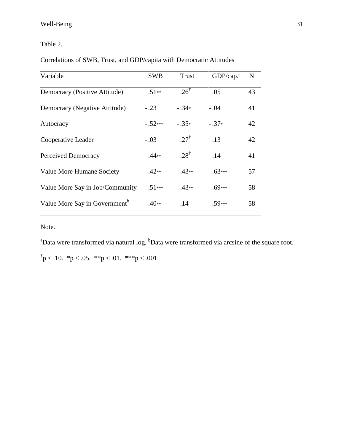## Table 2.

## Correlations of SWB, Trust, and GDP/capita with Democratic Attitudes

| Variable                                  | <b>SWB</b> | Trust           | GDP/cap. <sup>a</sup> | N  |
|-------------------------------------------|------------|-----------------|-----------------------|----|
| Democracy (Positive Attitude)             | $.51**$    | $.26^{\dagger}$ | .05                   | 43 |
| Democracy (Negative Attitude)             | $-.23$     | $-.34*$         | $-.04$                | 41 |
| Autocracy                                 | $-.52***$  | $-.35*$         | $-.37*$               | 42 |
| Cooperative Leader                        | $-.03$     | $.27^{\dagger}$ | .13                   | 42 |
| Perceived Democracy                       | $.44**$    | $.28^{\dagger}$ | .14                   | 41 |
| <b>Value More Humane Society</b>          | $.42**$    | $.43**$         | $.63***$              | 57 |
| Value More Say in Job/Community           | $.51***$   | $.43**$         | $.69***$              | 58 |
| Value More Say in Government <sup>b</sup> | $.40**$    | .14             | $.59***$              | 58 |

## Note.

<sup>a</sup>Data were transformed via natural log. <sup>b</sup>Data were transformed via arcsine of the square root.

<sup>†</sup> $p < .10.$  \* $p < .05.$  \*\* $p < .01.$  \*\*\* $p < .001.$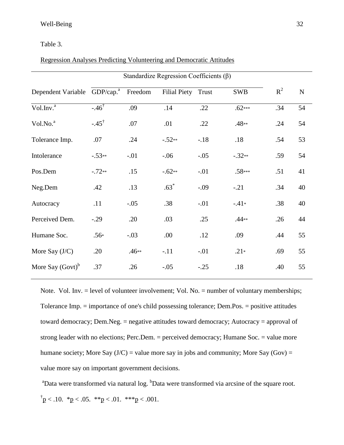### Table 3.

## Regression Analyses Predicting Volunteering and Democratic Attitudes

| Standardize Regression Coefficients $(\beta)$ |                  |         |                    |        |            |       |           |
|-----------------------------------------------|------------------|---------|--------------------|--------|------------|-------|-----------|
| Dependent Variable GDP/cap. <sup>a</sup>      |                  | Freedom | Filial Piety Trust |        | <b>SWB</b> | $R^2$ | ${\bf N}$ |
| Vol.Inv. <sup>a</sup>                         | $-.46^{\dagger}$ | .09     | .14                | .22    | $.62***$   | .34   | 54        |
| Vol.No. <sup>a</sup>                          | $-.45^{\dagger}$ | .07     | .01                | .22    | $.48**$    | .24   | 54        |
| Tolerance Imp.                                | .07              | .24     | $-.52**$           | $-.18$ | .18        | .54   | 53        |
| Intolerance                                   | $-.53**$         | $-.01$  | $-.06$             | $-.05$ | $-.32**$   | .59   | 54        |
| Pos.Dem                                       | $-.72**$         | .15     | $-.62**$           | $-.01$ | $.58***$   | .51   | 41        |
| Neg.Dem                                       | .42              | .13     | $.63*$             | $-.09$ | $-.21$     | .34   | 40        |
| Autocracy                                     | .11              | $-.05$  | .38                | $-.01$ | $-.41*$    | .38   | 40        |
| Perceived Dem.                                | $-.29$           | .20     | .03                | .25    | $.44**$    | .26   | 44        |
| Humane Soc.                                   | $.56*$           | $-.03$  | .00                | .12    | .09        | .44   | 55        |
| More Say $(J/C)$                              | .20              | $.46**$ | $-.11$             | $-.01$ | $.21*$     | .69   | 55        |
| More Say $(Govt)^b$                           | .37              | .26     | $-.05$             | $-.25$ | .18        | .40   | 55        |

Note. Vol. Inv. = level of volunteer involvement; Vol. No. = number of voluntary memberships; Tolerance Imp. = importance of one's child possessing tolerance; Dem.Pos. = positive attitudes toward democracy; Dem.Neg. = negative attitudes toward democracy; Autocracy = approval of strong leader with no elections; Perc.Dem. = perceived democracy; Humane Soc. = value more humane society; More Say  $(J/C)$  = value more say in jobs and community; More Say  $(Gov)$  = value more say on important government decisions.

<sup>a</sup>Data were transformed via natural log. <sup>b</sup>Data were transformed via arcsine of the square root. <sup>†</sup> $p < .10.$  \* $p < .05.$  \*\* $p < .01.$  \*\*\* $p < .001.$